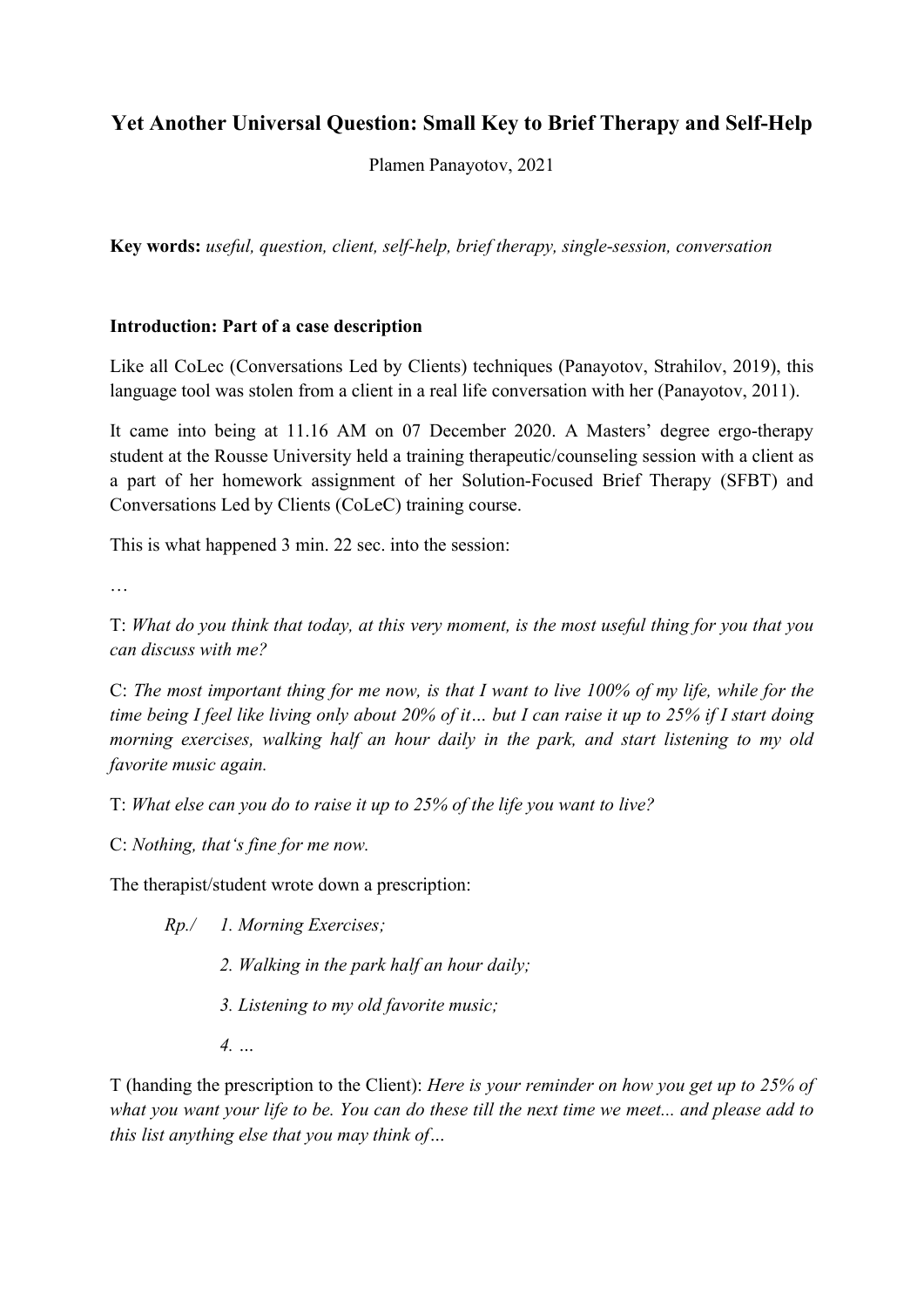# Yet Another Universal Question: Small Key to Brief Therapy and Self-Help

Plamen Panayotov, 2021

Key words: useful, question, client, self-help, brief therapy, single-session, conversation

#### Introduction: Part of a case description

Like all CoLec (Conversations Led by Clients) techniques (Panayotov, Strahilov, 2019), this language tool was stolen from a client in a real life conversation with her (Panayotov, 2011).

It came into being at 11.16 AM on 07 December 2020. A Masters' degree ergo-therapy student at the Rousse University held a training therapeutic/counseling session with a client as a part of her homework assignment of her Solution-Focused Brief Therapy (SFBT) and Conversations Led by Clients (CoLeC) training course.

This is what happened 3 min. 22 sec. into the session:

…

T: What do you think that today, at this very moment, is the most useful thing for you that you can discuss with me?

C: The most important thing for me now, is that I want to live 100% of my life, while for the time being I feel like living only about 20% of it… but I can raise it up to 25% if I start doing morning exercises, walking half an hour daily in the park, and start listening to my old favorite music again.

T: What else can you do to raise it up to 25% of the life you want to live?

C: Nothing, that's fine for me now.

The therapist/student wrote down a prescription:

Rp./ 1. Morning Exercises;

2. Walking in the park half an hour daily;

3. Listening to my old favorite music;

4. …

T (handing the prescription to the Client): Here is your reminder on how you get up to 25% of what you want your life to be. You can do these till the next time we meet... and please add to this list anything else that you may think of…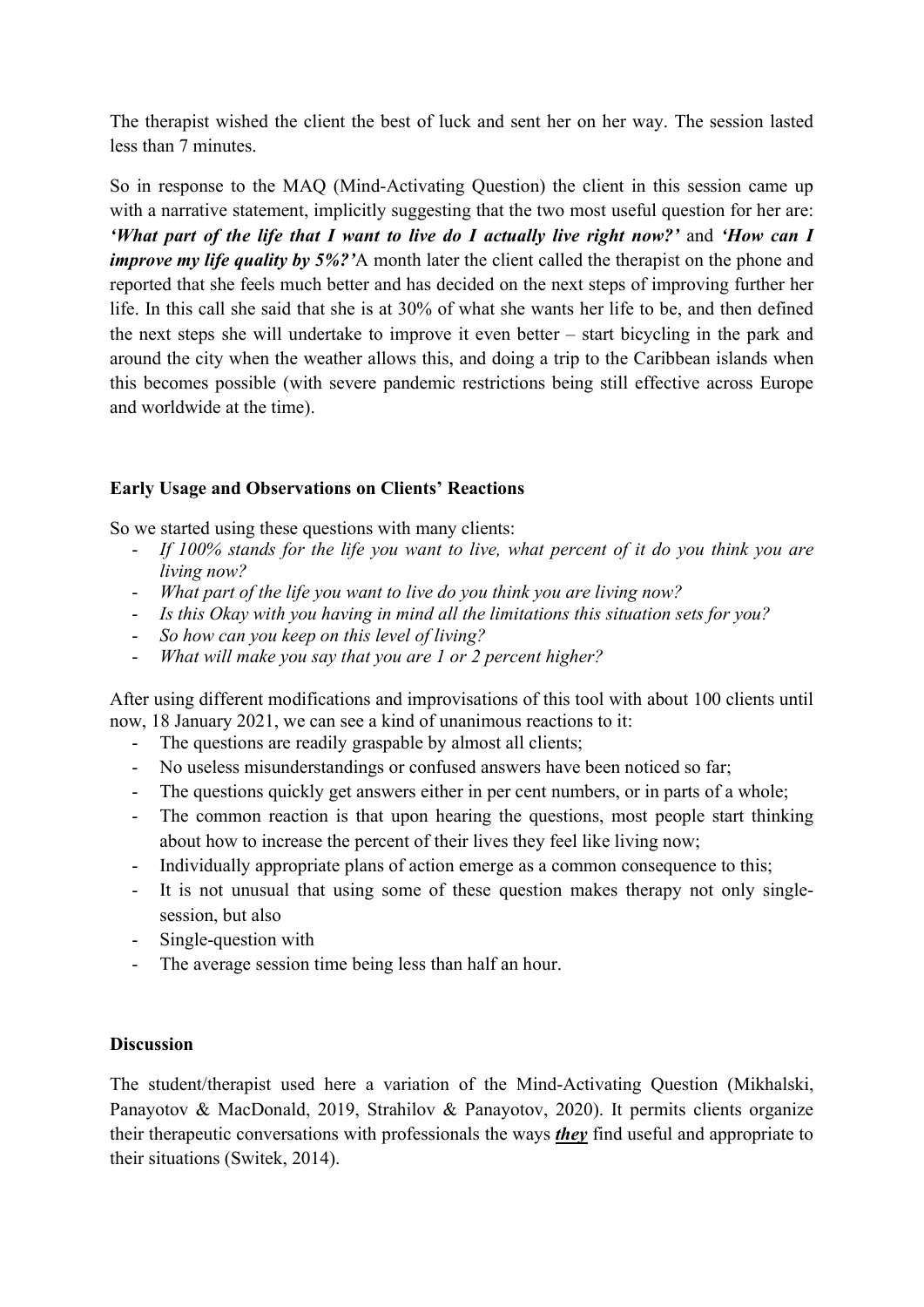The therapist wished the client the best of luck and sent her on her way. The session lasted less than 7 minutes.

So in response to the MAQ (Mind-Activating Question) the client in this session came up with a narrative statement, implicitly suggesting that the two most useful question for her are: 'What part of the life that I want to live do I actually live right now?' and 'How can I improve my life quality by 5%?'A month later the client called the therapist on the phone and reported that she feels much better and has decided on the next steps of improving further her life. In this call she said that she is at 30% of what she wants her life to be, and then defined the next steps she will undertake to improve it even better – start bicycling in the park and around the city when the weather allows this, and doing a trip to the Caribbean islands when this becomes possible (with severe pandemic restrictions being still effective across Europe and worldwide at the time).

# Early Usage and Observations on Clients' Reactions

So we started using these questions with many clients:

- If 100% stands for the life you want to live, what percent of it do you think you are living now?
- What part of the life you want to live do you think you are living now?
- Is this Okay with you having in mind all the limitations this situation sets for you?
- So how can you keep on this level of living?
- What will make you say that you are  $1$  or  $2$  percent higher?

After using different modifications and improvisations of this tool with about 100 clients until now, 18 January 2021, we can see a kind of unanimous reactions to it:

- The questions are readily graspable by almost all clients;
- No useless misunderstandings or confused answers have been noticed so far;
- The questions quickly get answers either in per cent numbers, or in parts of a whole;
- The common reaction is that upon hearing the questions, most people start thinking about how to increase the percent of their lives they feel like living now;
- Individually appropriate plans of action emerge as a common consequence to this;
- It is not unusual that using some of these question makes therapy not only singlesession, but also
- Single-question with
- The average session time being less than half an hour.

### Discussion

The student/therapist used here a variation of the Mind-Activating Question (Mikhalski, Panayotov & MacDonald, 2019, Strahilov & Panayotov, 2020). It permits clients organize their therapeutic conversations with professionals the ways *they* find useful and appropriate to their situations (Switek, 2014).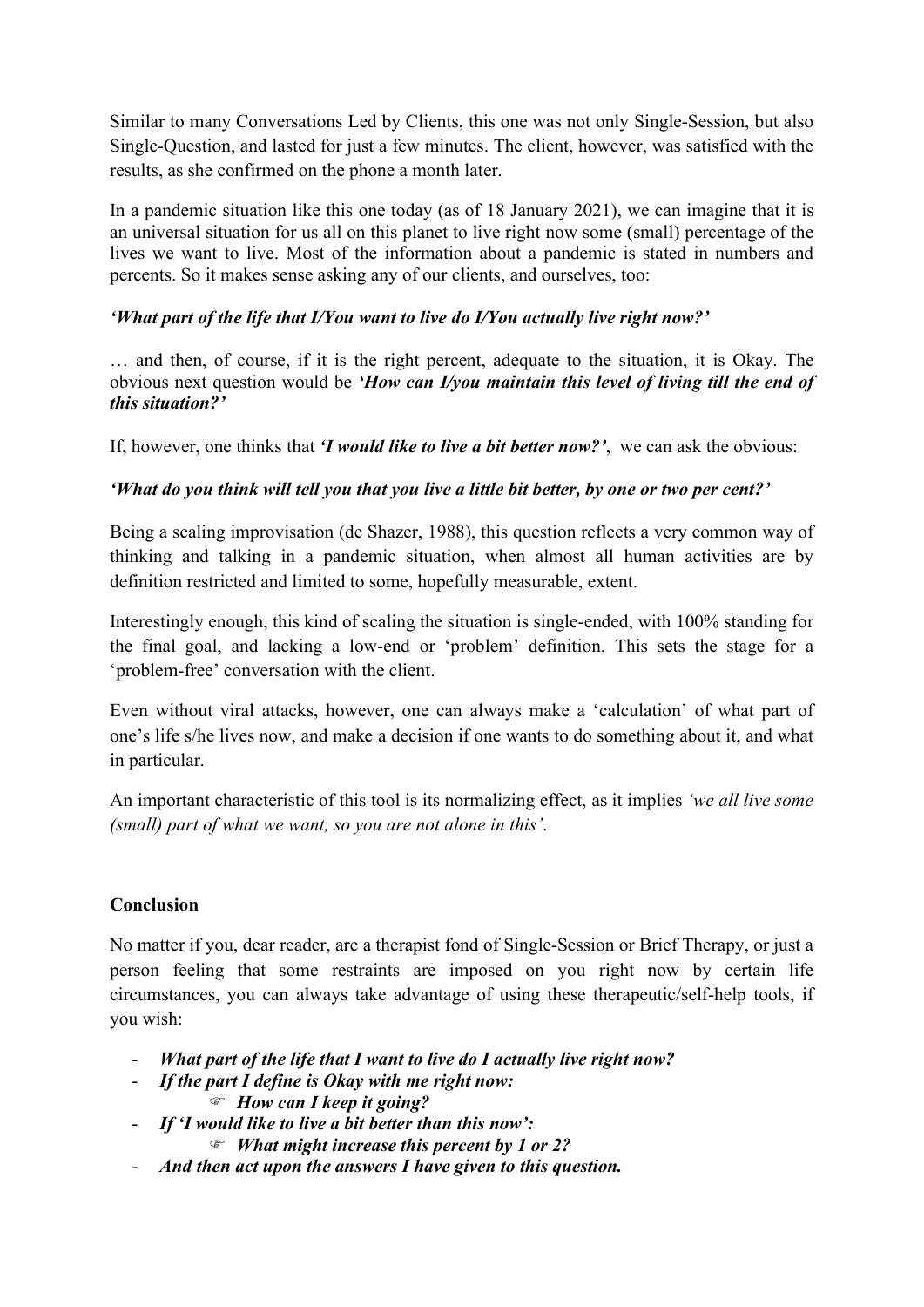Similar to many Conversations Led by Clients, this one was not only Single-Session, but also Single-Question, and lasted for just a few minutes. The client, however, was satisfied with the results, as she confirmed on the phone a month later.

In a pandemic situation like this one today (as of 18 January 2021), we can imagine that it is an universal situation for us all on this planet to live right now some (small) percentage of the lives we want to live. Most of the information about a pandemic is stated in numbers and percents. So it makes sense asking any of our clients, and ourselves, too:

# 'What part of the life that I/You want to live do I/You actually live right now?'

… and then, of course, if it is the right percent, adequate to the situation, it is Okay. The obvious next question would be 'How can I/you maintain this level of living till the end of this situation?'

If, however, one thinks that *I would like to live a bit better now?*', we can ask the obvious:

# 'What do you think will tell you that you live a little bit better, by one or two per cent?'

Being a scaling improvisation (de Shazer, 1988), this question reflects a very common way of thinking and talking in a pandemic situation, when almost all human activities are by definition restricted and limited to some, hopefully measurable, extent.

Interestingly enough, this kind of scaling the situation is single-ended, with 100% standing for the final goal, and lacking a low-end or 'problem' definition. This sets the stage for a 'problem-free' conversation with the client.

Even without viral attacks, however, one can always make a 'calculation' of what part of one's life s/he lives now, and make a decision if one wants to do something about it, and what in particular.

An important characteristic of this tool is its normalizing effect, as it implies 'we all live some (small) part of what we want, so you are not alone in this'.

### Conclusion

No matter if you, dear reader, are a therapist fond of Single-Session or Brief Therapy, or just a person feeling that some restraints are imposed on you right now by certain life circumstances, you can always take advantage of using these therapeutic/self-help tools, if you wish:

- What part of the life that I want to live do I actually live right now?
- If the part I define is Okay with me right now:
	- How can I keep it going?
- If 'I would like to live a bit better than this now':
	- $\mathcal{F}$  What might increase this percent by 1 or 2?
- And then act upon the answers I have given to this question.